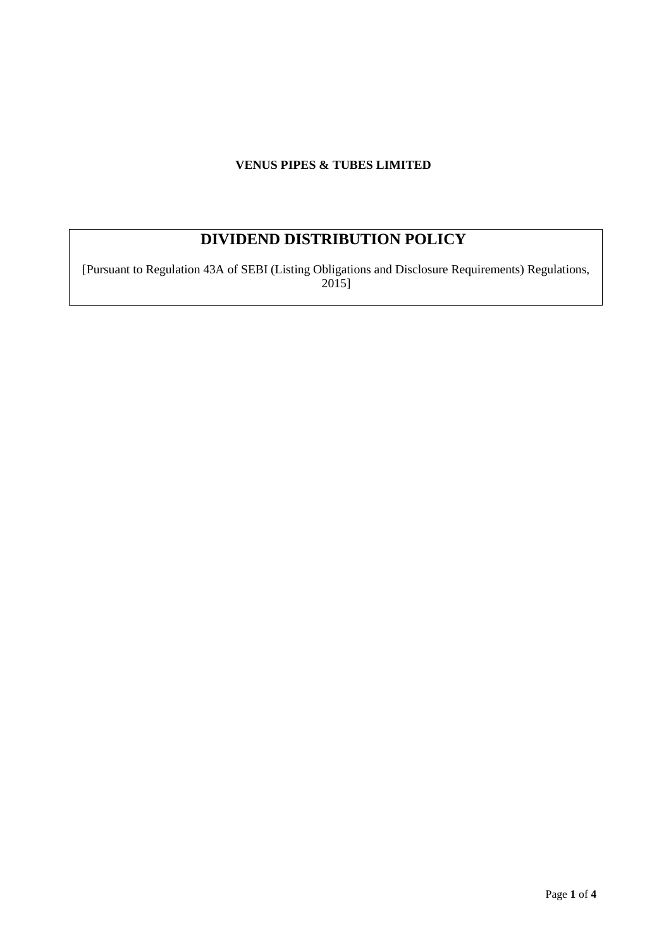# **VENUS PIPES & TUBES LIMITED**

# **DIVIDEND DISTRIBUTION POLICY**

[Pursuant to Regulation 43A of SEBI (Listing Obligations and Disclosure Requirements) Regulations, 2015]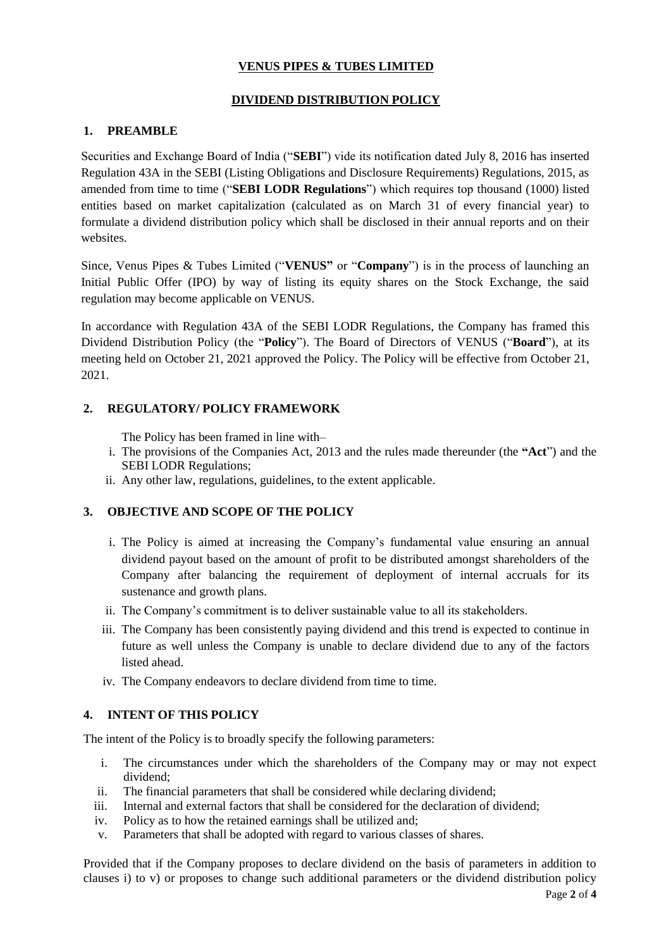# **VENUS PIPES & TUBES LIMITED**

## **DIVIDEND DISTRIBUTION POLICY**

## **1. PREAMBLE**

Securities and Exchange Board of India ("**SEBI**") vide its notification dated July 8, 2016 has inserted Regulation 43A in the SEBI (Listing Obligations and Disclosure Requirements) Regulations, 2015, as amended from time to time ("**SEBI LODR Regulations**") which requires top thousand (1000) listed entities based on market capitalization (calculated as on March 31 of every financial year) to formulate a dividend distribution policy which shall be disclosed in their annual reports and on their websites.

Since, Venus Pipes & Tubes Limited ("**VENUS"** or "**Company**") is in the process of launching an Initial Public Offer (IPO) by way of listing its equity shares on the Stock Exchange, the said regulation may become applicable on VENUS.

In accordance with Regulation 43A of the SEBI LODR Regulations, the Company has framed this Dividend Distribution Policy (the "**Policy**"). The Board of Directors of VENUS ("**Board**"), at its meeting held on October 21, 2021 approved the Policy. The Policy will be effective from October 21, 2021.

## **2. REGULATORY/ POLICY FRAMEWORK**

The Policy has been framed in line with–

- i. The provisions of the Companies Act, 2013 and the rules made thereunder (the **"Act**") and the SEBI LODR Regulations;
- ii. Any other law, regulations, guidelines, to the extent applicable.

## **3. OBJECTIVE AND SCOPE OF THE POLICY**

- i. The Policy is aimed at increasing the Company's fundamental value ensuring an annual dividend payout based on the amount of profit to be distributed amongst shareholders of the Company after balancing the requirement of deployment of internal accruals for its sustenance and growth plans.
- ii. The Company's commitment is to deliver sustainable value to all its stakeholders.
- iii. The Company has been consistently paying dividend and this trend is expected to continue in future as well unless the Company is unable to declare dividend due to any of the factors listed ahead.
- iv. The Company endeavors to declare dividend from time to time.

## **4. INTENT OF THIS POLICY**

The intent of the Policy is to broadly specify the following parameters:

- i. The circumstances under which the shareholders of the Company may or may not expect dividend;
- ii. The financial parameters that shall be considered while declaring dividend;
- iii. Internal and external factors that shall be considered for the declaration of dividend;
- iv. Policy as to how the retained earnings shall be utilized and;
- v. Parameters that shall be adopted with regard to various classes of shares.

Provided that if the Company proposes to declare dividend on the basis of parameters in addition to clauses i) to v) or proposes to change such additional parameters or the dividend distribution policy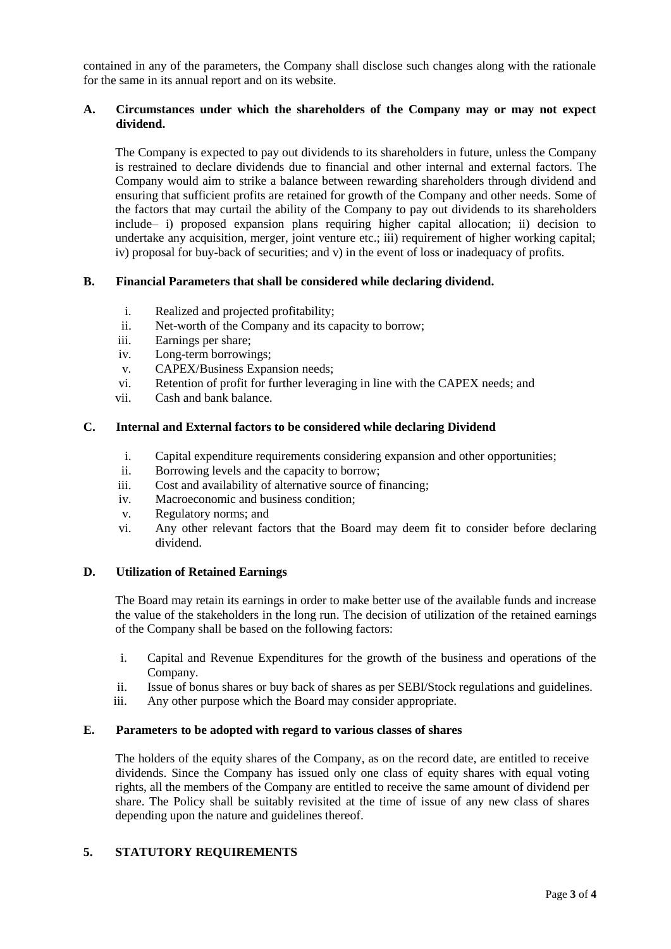contained in any of the parameters, the Company shall disclose such changes along with the rationale for the same in its annual report and on its website.

#### **A. Circumstances under which the shareholders of the Company may or may not expect dividend.**

The Company is expected to pay out dividends to its shareholders in future, unless the Company is restrained to declare dividends due to financial and other internal and external factors. The Company would aim to strike a balance between rewarding shareholders through dividend and ensuring that sufficient profits are retained for growth of the Company and other needs. Some of the factors that may curtail the ability of the Company to pay out dividends to its shareholders include– i) proposed expansion plans requiring higher capital allocation; ii) decision to undertake any acquisition, merger, joint venture etc.; iii) requirement of higher working capital; iv) proposal for buy-back of securities; and v) in the event of loss or inadequacy of profits.

#### **B. Financial Parameters that shall be considered while declaring dividend.**

- i. Realized and projected profitability;
- ii. Net-worth of the Company and its capacity to borrow;
- iii. Earnings per share;
- iv. Long-term borrowings;
- v. CAPEX/Business Expansion needs;
- vi. Retention of profit for further leveraging in line with the CAPEX needs; and
- vii. Cash and bank balance.

#### **C. Internal and External factors to be considered while declaring Dividend**

- i. Capital expenditure requirements considering expansion and other opportunities;
- ii. Borrowing levels and the capacity to borrow;
- iii. Cost and availability of alternative source of financing;
- iv. Macroeconomic and business condition;
- v. Regulatory norms; and
- vi. Any other relevant factors that the Board may deem fit to consider before declaring dividend.

#### **D. Utilization of Retained Earnings**

The Board may retain its earnings in order to make better use of the available funds and increase the value of the stakeholders in the long run. The decision of utilization of the retained earnings of the Company shall be based on the following factors:

- i. Capital and Revenue Expenditures for the growth of the business and operations of the Company.
- ii. Issue of bonus shares or buy back of shares as per SEBI/Stock regulations and guidelines.
- iii. Any other purpose which the Board may consider appropriate.

#### **E. Parameters to be adopted with regard to various classes of shares**

The holders of the equity shares of the Company, as on the record date, are entitled to receive dividends. Since the Company has issued only one class of equity shares with equal voting rights, all the members of the Company are entitled to receive the same amount of dividend per share. The Policy shall be suitably revisited at the time of issue of any new class of shares depending upon the nature and guidelines thereof.

#### **5. STATUTORY REQUIREMENTS**